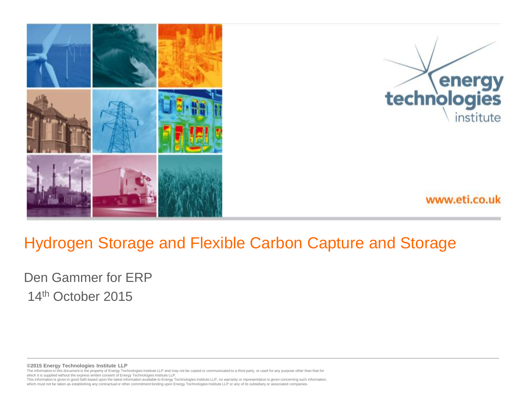

#### Hydrogen Storage and Flexible Carbon Capture and Storage

Den Gammer for ERP 14th October 2015

winding in the supplement will be seen the supplementation and the supplemental controller in the supplementation is given concerning such information, in the latest information, included by Technologies Institute LLP, no **©2015 Energy Technologies Institute LLP**  The information in this document is the property of Energy Technologies Institute LLP and may not be copied or communicated to a third party, or used for any purpose other than that for which it is supplied without the express written consent of Energy Technologies Institute LLP.

which must not be taken as establishing any contractual or other commitment binding upon Energy Technologies Institute LLP or any of its subsidiary or associated companies.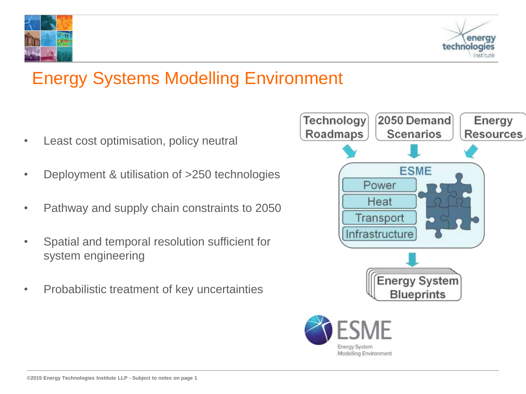



# Energy Systems Modelling Environment

- Least cost optimisation, policy neutral
- Deployment & utilisation of >250 technologies
- Pathway and supply chain constraints to 2050
- Spatial and temporal resolution sufficient for system engineering
- Probabilistic treatment of key uncertainties

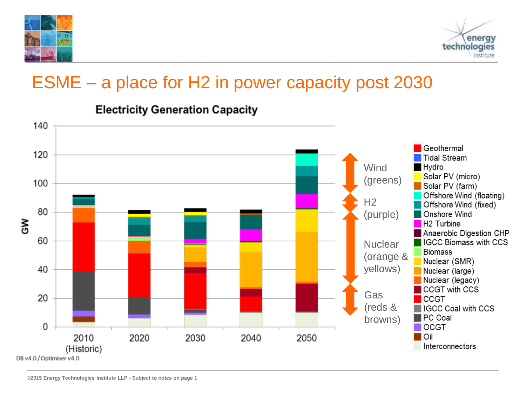



#### ESME – a place for H2 in power capacity post 2030



#### **Electricity Generation Capacity**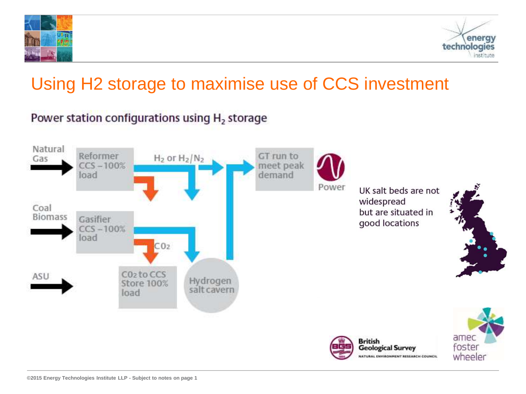



## Using H2 storage to maximise use of CCS investment

#### Power station configurations using H<sub>2</sub> storage

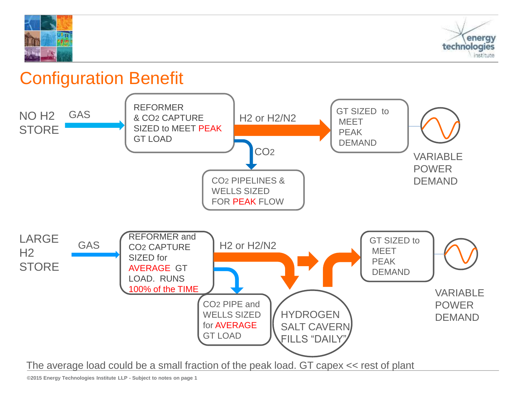



#### Configuration Benefit

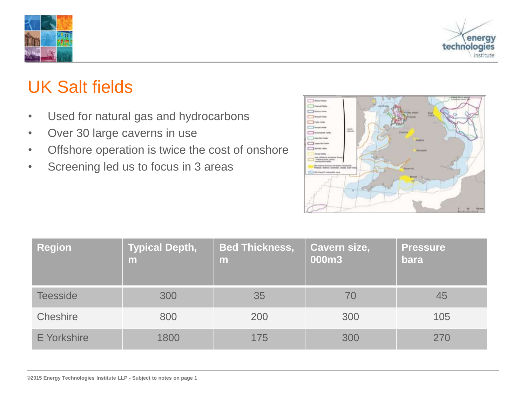



### UK Salt fields

- Used for natural gas and hydrocarbons
- Over 30 large caverns in use
- Offshore operation is twice the cost of onshore
- Screening led us to focus in 3 areas



| <b>Region</b>      | <b>Typical Depth,</b><br>m | <b>Bed Thickness,</b><br>m | Cavern size,<br>000m3 | <b>Pressure</b><br>bara |
|--------------------|----------------------------|----------------------------|-----------------------|-------------------------|
| <b>Teesside</b>    | 300                        | 35                         | 70                    | 45                      |
| Cheshire           | 800                        | 200                        | 300                   | 105                     |
| <b>E</b> Yorkshire | 1800                       | 175                        | 300                   | 270                     |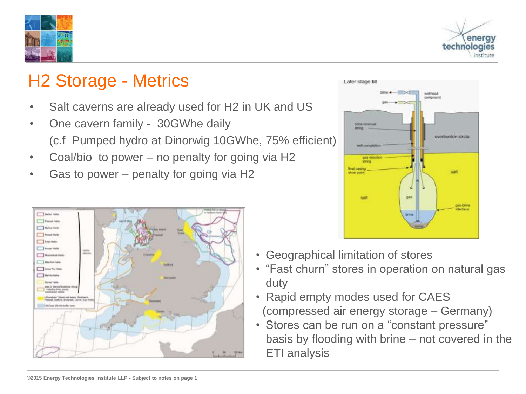



#### H2 Storage - Metrics

- Salt caverns are already used for H2 in UK and US
- One cavern family 30GWhe daily (c.f Pumped hydro at Dinorwig 10GWhe, 75% efficient)
- Coal/bio to power no penalty for going via H2
- Gas to power penalty for going via H2





- Geographical limitation of stores
- "Fast churn" stores in operation on natural gas duty
- Rapid empty modes used for CAES (compressed air energy storage – Germany)
- Stores can be run on a "constant pressure" basis by flooding with brine – not covered in the ETI analysis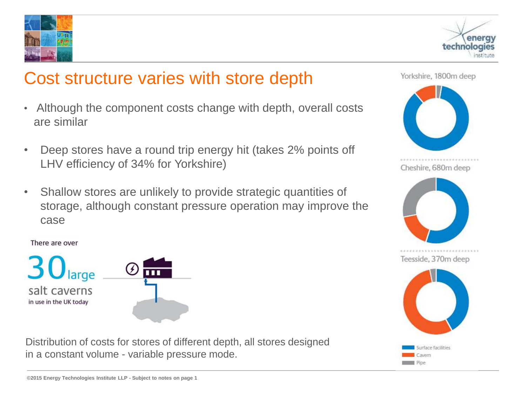



#### Cost structure varies with store depth

- Although the component costs change with depth, overall costs are similar
- Deep stores have a round trip energy hit (takes 2% points off LHV efficiency of 34% for Yorkshire)
- Shallow stores are unlikely to provide strategic quantities of storage, although constant pressure operation may improve the case

salt caverns in use in the UK today



Distribution of costs for stores of different depth, all stores designed in a constant volume - variable pressure mode.





Teesside, 370m deep

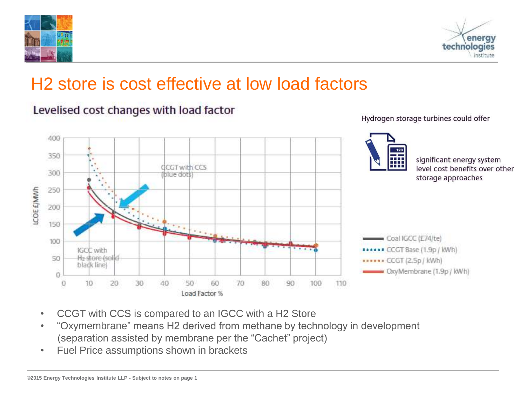



### H2 store is cost effective at low load factors



Levelised cost changes with load factor

Hydrogen storage turbines could offer

- CCGT with CCS is compared to an IGCC with a H2 Store
- "Oxymembrane" means H2 derived from methane by technology in development (separation assisted by membrane per the "Cachet" project)
- Fuel Price assumptions shown in brackets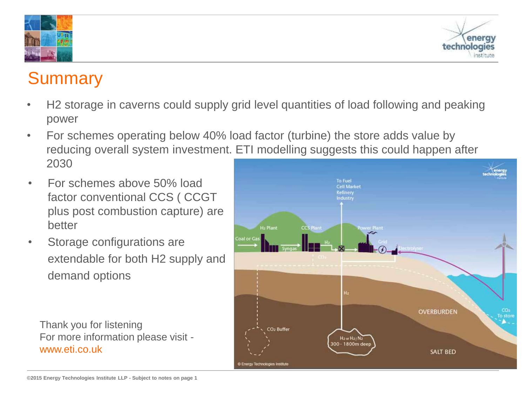



#### **Summary**

- H2 storage in caverns could supply grid level quantities of load following and peaking power
- For schemes operating below 40% load factor (turbine) the store adds value by reducing overall system investment. ETI modelling suggests this could happen after 2030
- For schemes above 50% load factor conventional CCS ( CCGT plus post combustion capture) are better
- Storage configurations are extendable for both H2 supply and demand options

Thank you for listening For more information please visit www.eti.co.uk

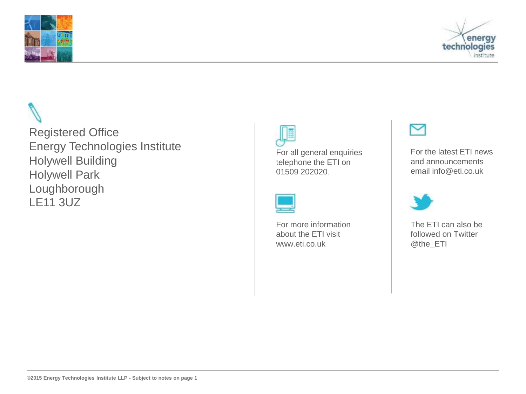



Registered Office Energy Technologies Institute Holywell Building Holywell Park Loughborough LE11 3UZ



For all general enquiries telephone the ETI on 01509 202020.

For more information about the ETI visit www.eti.co.uk



For the latest ETI news and announcements email info@eti.co.uk



The ETI can also be followed on Twitter @the\_ETI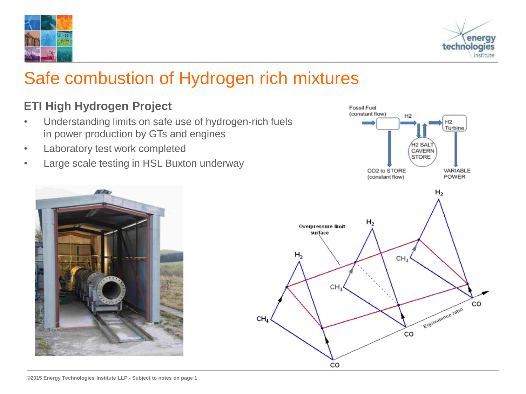### Safe combustion of Hydrogen rich mixtures

CH,

#### **ETI High Hydrogen Project**

- Understanding limits on safe use of hydrogen-rich fuels in power production by GTs and engines
- Laboratory test work completed
- Large scale testing in HSL Buxton underway



Fossil Fuel



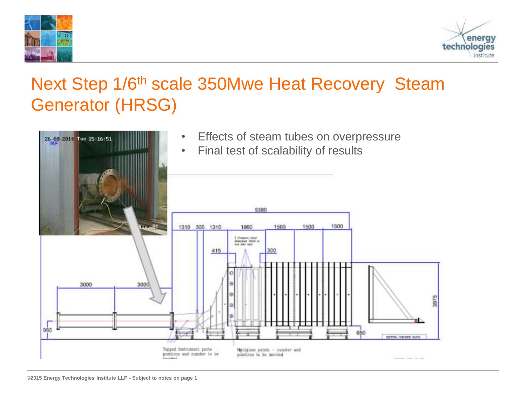



### Next Step 1/6<sup>th</sup> scale 350Mwe Heat Recovery Steam Generator (HRSG)